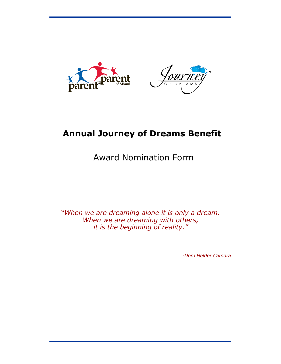



# **Annual Journey of Dreams Benefit**

# Award Nomination Form

"*When we are dreaming alone it is only a dream. When we are dreaming with others, it is the beginning of reality."*

*-Dom Helder Camara*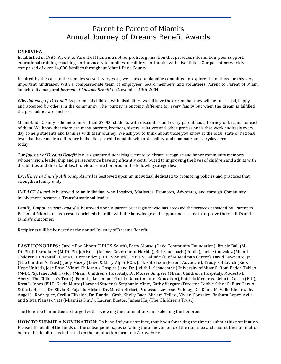### Parent to Parent of Miami's Annual Journey of Dreams Benefit Awards

#### **OVERVIEW**

Established in 1986, Parent to Parent of Miami is a not for profit organization that provides information, peer support, educational training, coaching, and advocacy to families of children and adults with disabilities. Our parent network is comprised of over 14,000 families throughout Miami-Dade County.

Inspired by the calls of the families served every year, we started a planning committee to explore the options for this very important fundraiser. With a compassionate team of employees, board members and volunteers Parent to Parent of Miami launched its Inaugural *Journey of Dreams Benefit* on November 19th, 2004.

Why *Journey of Dreams*? As parents of children with disabilities, we all have the dream that they will be successful, happy and accepted by others in the community. The journey is ongoing, different for every family but when the dream is fulfilled the possibilities are endless!

Miami-Dade County is home to more than 37,000 students with disabilities and every parent has a Journey of Dreams for each of them. We know that there are many parents, brothers, sisters, relatives and other professionals that work endlessly every day to help students and families with their journey. We ask you to think about those you know at the local, state or national level that have made a difference in the life of a child or adult with a disability and nominate an everyday hero today!

Our *Journey of Dreams Benefit* is our signature fundraising event to celebrate, recognize and honor community members whose vision, leadership and perseverance have significantly contributed to improving the lives of children and adults with disabilities and their families. Individuals are honored in the following categories:

*Excellence in Family Advocacy Award* is bestowed upon an individual dedicated to promoting policies and practices that strengthen family unity.

*IMPACT Award* is bestowed to an individual who **I**nspires, **M**otivates, **P**romotes, **A**dvocates, and through **C**ommunity involvement became a **T**ransformational leader.

*Family Empowerment Award* is bestowed upon a parent or caregiver who has accessed the services provided by Parent to Parent of Miami and as a result enriched their life with the knowledge and support necessary to improve their child's and family's outcomes.

Recipients will be honored at the annual Journey of Dreams Benefit.

**PAST HONOREES :** Carole Fox Abbott (FDLRS-South), Betty Alonso (Dade Community Foundation), Brucie Ball (M-DCPS), Jill Brookner (M-DCPS), Jeb Bush (former Governor of Florida), Bill Fauerbach (Publix), Jackie Gonzalez (Miami Children's Hospital), Iliana C. Hernandez (FDLRS-South), Paula S. Lalinde (U of M Mailman Center), David Lawrence, Jr. (The Children's Trust), Judy Mezey (Dave & Mary Alper JCC), Jack Patterson (Parent Advocate), Trudy Petkovich (Kids Hope United), Jose Roza (Miami Children's Hospital) and Dr. Judith L. Schaechter (University of Miami), Roni Bader-Tables (M-DCPS), Janet Bell Taylor (Miami Children's Hospital), Dr. Moises Simpser (Miami Children's Hospital), Modesto E. Abety (The Children's Trust), Bambi J. Lockman (Florida Department of Education), Patricia Mederos, Delia C. Garcia (FIU), Rosa L. Jones (FIU), Kevin Mintz (Harvard Student), Stephanie Mintz, Kathy Vergara (Director Debbie School), Burt Harris & Chris Harris, Dr. Silvia B. Fajardo Hiriart, Dr. Martin Hiriart, Professor Laverne Pinkney, Dr. Diana M. Valle-Riestra, Dr. Angel L. Rodriquez, Cecilia Elizalde, Dr. Randall Groh, Shelly Baer, Miriam Tellez , Vivian Gonzalez, Barbara Lopez-Avila and Silvia Planas-Prats (Miami is Kind), Lauren Bustos, James Haj (The Children's Trust).

The Honoree Committee is charged with reviewing the nominations and selecting the honorees.

**HOW TO SUBMIT A NOMINATION:** On behalf of your nominee, thank you for taking the time to submit this nomination. Please fill out all of the fields on the subsequent pages detailing the achievements of the nominee and submit the nomination before the deadline as indicated on the nomination form and/or website.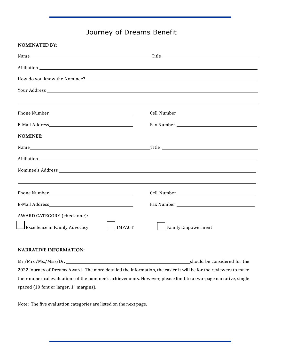## Journey of Dreams Benefit

| <b>NOMINATED BY:</b>                                  |                                  |
|-------------------------------------------------------|----------------------------------|
|                                                       |                                  |
|                                                       |                                  |
|                                                       |                                  |
|                                                       |                                  |
|                                                       |                                  |
|                                                       |                                  |
| <b>NOMINEE:</b>                                       |                                  |
|                                                       |                                  |
|                                                       |                                  |
|                                                       |                                  |
|                                                       |                                  |
| Phone Number <b>Manual</b>                            | Cell Number National Cell Number |
|                                                       |                                  |
| AWARD CATEGORY (check one):                           |                                  |
| <b>Excellence in Family Advocacy</b><br><b>IMPACT</b> | <b>Family Empowerment</b>        |
|                                                       |                                  |

#### **NARRATIVE INFORMATION:**

Mr./Mrs./Ms./Miss/Dr. should be considered for the 2022 Journey of Dreams Award. The more detailed the information, the easier it will be for the reviewers to make their numerical evaluations of the nominee's achievements. However, please limit to a two-page narrative, single spaced (10 font or larger, 1" margins).

Note: The five evaluation categories are listed on the next page.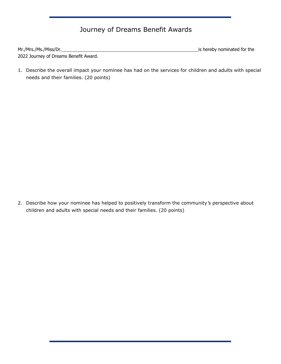## Journey of Dreams Benefit Awards

| Mr./Mrs./Ms./Miss/Dr.                 | is hereby nominated for the |
|---------------------------------------|-----------------------------|
| 2022 Journey of Dreams Benefit Award. |                             |

1. Describe the overall impact your nominee has had on the services for children and adults with special needs and their families. (20 points)

2. Describe how your nominee has helped to positively transform the community*'*s perspective about children and adults with special needs and their families. (20 points)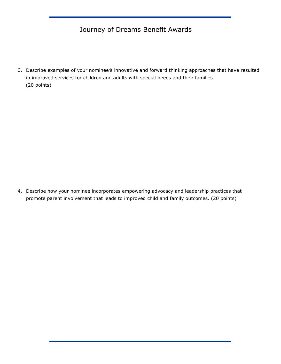## Journey of Dreams Benefit Awards

3. Describe examples of your nominee*'*s innovative and forward thinking approaches that have resulted in improved services for children and adults with special needs and their families. (20 points)

4. Describe how your nominee incorporates empowering advocacy and leadership practices that promote parent involvement that leads to improved child and family outcomes. (20 points)